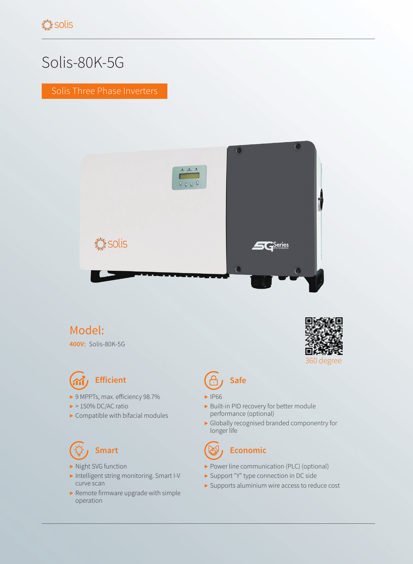# Solis-80K-5G

Solis Three Phase Inverters



### Model:

**400V:** Solis-80K-5G



- ▶ 9 MPPTs, max. efficiency 98.7%
- $\blacktriangleright$  > 150% DC/AC ratio
- $\blacktriangleright$  Compatible with bifacial modules

- ▶ Night SVG function
- ▶ Intelligent string monitoring. Smart I-V curve scan
- ▶ Remote firmware upgrade with simple operation



## **Efficient (A)** Safe

- ▶ IP66
- ▶ Built-in PID recovery for better module performance (optional)
- ▶ Globally recognised branded componentry for longer life

# **Smart Community Economic**

- ▶ Power line communication (PLC) (optional)
- ▶ Support "Y" type connection in DC side
- ▶ Supports aluminium wire access to reduce cost